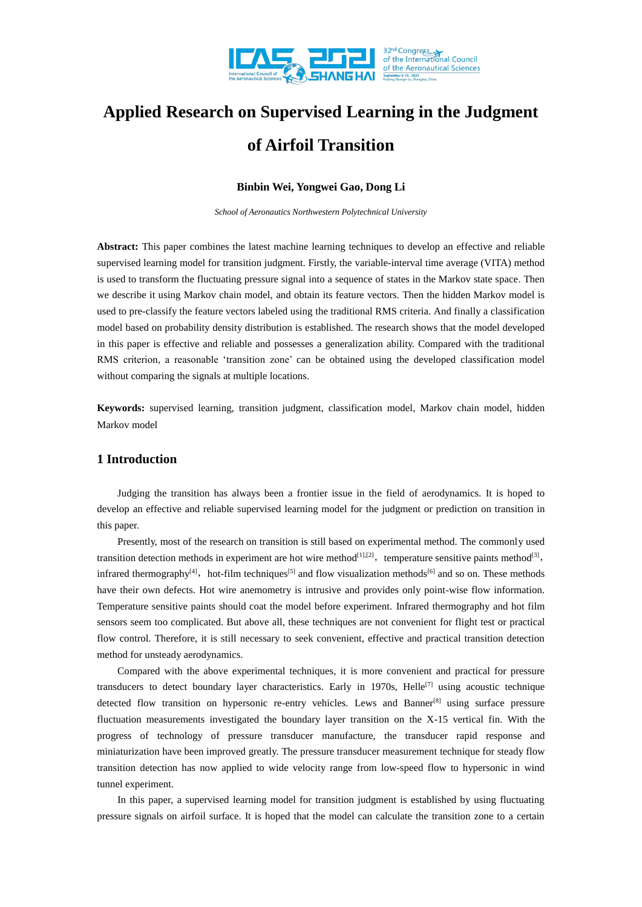

# **Applied Research on Supervised Learning in the Judgment of Airfoil Transition**

## **Binbin Wei, Yongwei Gao, Dong Li**

*School of Aeronautics Northwestern Polytechnical University*

**Abstract:** This paper combines the latest machine learning techniques to develop an effective and reliable supervised learning model for transition judgment. Firstly, the variable-interval time average (VITA) method is used to transform the fluctuating pressure signal into a sequence of states in the Markov state space. Then we describe it using Markov chain model, and obtain its feature vectors. Then the hidden Markov model is used to pre-classify the feature vectors labeled using the traditional RMS criteria. And finally a classification model based on probability density distribution is established. The research shows that the model developed in this paper is effective and reliable and possesses a generalization ability. Compared with the traditional RMS criterion, a reasonable 'transition zone' can be obtained using the developed classification model without comparing the signals at multiple locations.

**Keywords:** supervised learning, transition judgment, classification model, Markov chain model, hidden Markov model

# **1 Introduction**

Judging the transition has always been a frontier issue in the field of aerodynamics. It is hoped to develop an effective and reliable supervised learning model for the judgment or prediction on transition in this paper.

Presently, most of the research on transition is still based on experimental method. The commonly used transition detection methods in experiment are hot wire method<sup>[1],[2]</sup>, temperature sensitive paints method<sup>[3]</sup>, infrared thermography<sup>[4]</sup>, hot-film techniques<sup>[5]</sup> and flow visualization methods<sup>[6]</sup> and so on. These methods have their own defects. Hot wire anemometry is intrusive and provides only point-wise flow information. Temperature sensitive paints should coat the model before experiment. Infrared thermography and hot film sensors seem too complicated. But above all, these techniques are not convenient for flight test or practical flow control. Therefore, it is still necessary to seek convenient, effective and practical transition detection method for unsteady aerodynamics.

Compared with the above experimental techniques, it is more convenient and practical for pressure transducers to detect boundary layer characteristics. Early in 1970s, Helle<sup>[7]</sup> using acoustic technique detected flow transition on hypersonic re-entry vehicles. Lews and Banner<sup>[8]</sup> using surface pressure fluctuation measurements investigated the boundary layer transition on the X-15 vertical fin. With the progress of technology of pressure transducer manufacture, the transducer rapid response and miniaturization have been improved greatly. The pressure transducer measurement technique for steady flow transition detection has now applied to wide velocity range from low-speed flow to hypersonic in wind tunnel experiment.

In this paper, a supervised learning model for transition judgment is established by using fluctuating pressure signals on airfoil surface. It is hoped that the model can calculate the transition zone to a certain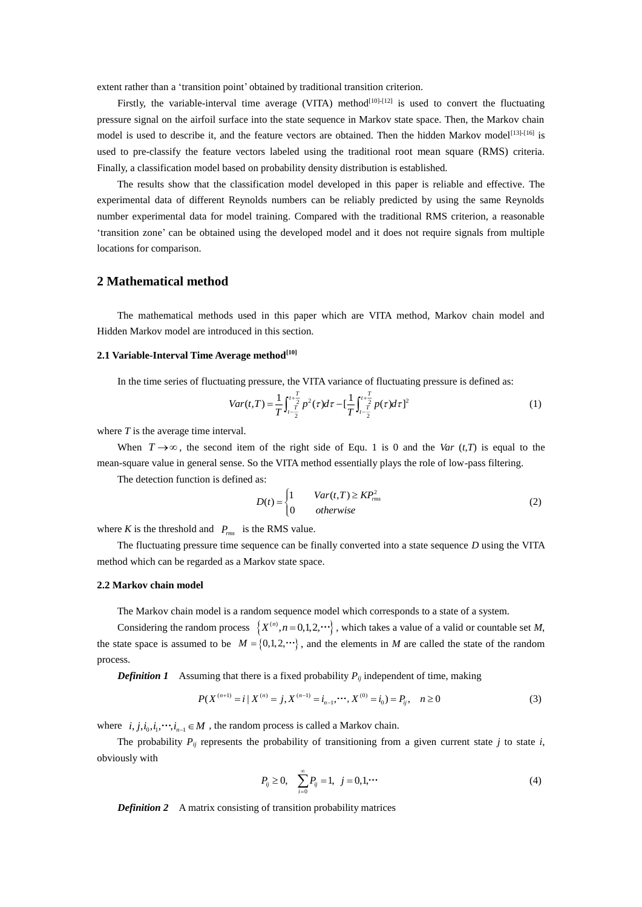extent rather than a 'transition point' obtained by traditional transition criterion.

Firstly, the variable-interval time average (VITA) method<sup>[10]-[12]</sup> is used to convert the fluctuating pressure signal on the airfoil surface into the state sequence in Markov state space. Then, the Markov chain model is used to describe it, and the feature vectors are obtained. Then the hidden Markov model<sup>[13]-[16]</sup> is used to pre-classify the feature vectors labeled using the traditional root mean square (RMS) criteria. Finally, a classification model based on probability density distribution is established.

The results show that the classification model developed in this paper is reliable and effective. The experimental data of different Reynolds numbers can be reliably predicted by using the same Reynolds number experimental data for model training. Compared with the traditional RMS criterion, a reasonable 'transition zone' can be obtained using the developed model and it does not require signals from multiple locations for comparison.

# **2 Mathematical method**

The mathematical methods used in this paper which are VITA method, Markov chain model and Hidden Markov model are introduced in this section.

### **2.1 Variable-Interval Time Average method[10]**

In the time series of fluctuating pressure, the VITA variance of fluctuating pressure is defined as:

$$
Var(t,T) = \frac{1}{T} \int_{t-\frac{T}{2}}^{t+\frac{T}{2}} p^2(\tau) d\tau - \left[\frac{1}{T} \int_{t-\frac{T}{2}}^{t+\frac{T}{2}} p(\tau) d\tau\right]^2
$$
 (1)

where *T* is the average time interval.

When  $T \rightarrow \infty$ , the second item of the right side of Equ. 1 is 0 and the *Var* (*t*,*T*) is equal to the mean-square value in general sense. So the VITA method essentially plays the role of low-pass filtering.

The detection function is defined as:

$$
D(t) = \begin{cases} 1 & Var(t,T) \ge KP_{rms}^2\\ 0 & otherwise \end{cases}
$$
 (2)

where *K* is the threshold and  $P_{rms}$  is the RMS value.

The fluctuating pressure time sequence can be finally converted into a state sequence *D* using the VITA method which can be regarded as a Markov state space.

## **2.2 Markov chain model**

The Markov chain model is a random sequence model which corresponds to a state of a system.

Considering the random process  $\{X^{(n)}, n=0,1,2,\cdots\}$ , which takes a value of a valid or countable set *M*, the state space is assumed to be  $M = \{0, 1, 2, \dots\}$ , and the elements in *M* are called the state of the random process.

*Definition 1* Assuming that there is a fixed probability  $P_{ij}$  independent of time, making

$$
P(X^{(n+1)} = i | X^{(n)} = j, X^{(n-1)} = i_{n-1}, \cdots, X^{(0)} = i_0) = P_{ij}, \quad n \ge 0
$$
\n(3)

where  $i, j, i_0, i_1, \dots, i_{n-1} \in M$ , the random process is called a Markov chain.

The probability  $P_{ij}$  represents the probability of transitioning from a given current state  $j$  to state  $i$ , obviously with

$$
P_{ij} \ge 0, \quad \sum_{i=0}^{\infty} P_{ij} = 1, \ \ j = 0, 1, \cdots \tag{4}
$$

*Definition 2* A matrix consisting of transition probability matrices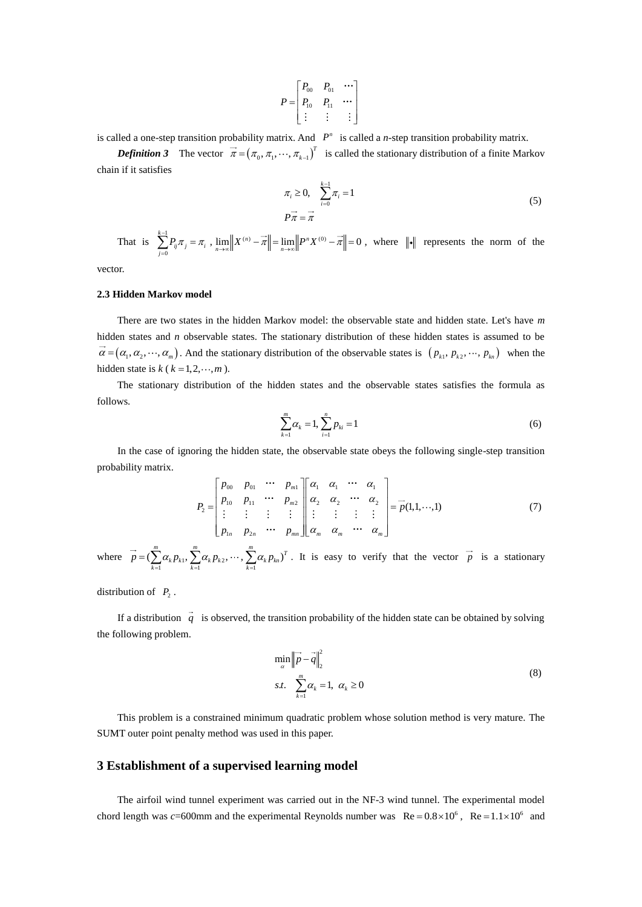$$
P = \begin{bmatrix} P_{00} & P_{01} & \cdots \\ P_{10} & P_{11} & \cdots \\ \vdots & \vdots & \vdots \end{bmatrix}
$$

is called a one-step transition probability matrix. And  $P<sup>n</sup>$  is called a *n*-step transition probability matrix.

*Definition 3* The vector  $\vec{\pi} = (\pi_0, \pi_1, \dots, \pi_{k-1})^T$  is called the stationary distribution of a finite Markov chain if it satisfies

$$
\pi_i \ge 0, \quad \sum_{i=0}^{k-1} \pi_i = 1
$$
\n
$$
P\vec{\pi} = \vec{\pi}
$$
\n(5)

That is  $\sum_{k=1}^{k-1}$ *k*  $\sum_{j=0}^{\infty}$ <sup>*i*</sup> ij<sup>n</sup> j – n<sub>i</sub>  $\overline{\sum}^{\scriptscriptstyle -1}P_{\scriptscriptstyle \!\!\! i\,} \pi_{\scriptscriptstyle \!\! i\,} = \pi$  $\sum_{i=0}^{k-1} P_{ij} \pi_j = \pi_i$ ,  $\lim_{n \to \infty} \left\| X^{(n)} - \overline{\pi} \right\| = \lim_{n \to \infty} \left\| P^n X^{(0)} - \overline{\pi} \right\| = 0$ , where  $\|\cdot\|$  represents the norm of the

vector.

#### **2.3 Hidden Markov model**

There are two states in the hidden Markov model: the observable state and hidden state. Let's have *m* hidden states and *n* observable states. The stationary distribution of these hidden states is assumed to be  $\alpha = (\alpha_1, \alpha_2, \cdots, \alpha_m)$ . And the stationary distribution of the observable states is  $(p_{k1}, p_{k2}, \cdots, p_{kn})$  when the hidden state is  $k$  ( $k = 1, 2, \dots, m$ ).

The stationary distribution of the hidden states and the observable states satisfies the formula as follows.

$$
\sum_{k=1}^{m} \alpha_k = 1, \sum_{i=1}^{n} p_{ki} = 1
$$
\n(6)

In the case of ignoring the hidden state, the observable state obeys the following single-step transition probability matrix.

$$
P_{2} = \begin{bmatrix} p_{00} & p_{01} & \cdots & p_{m1} \\ p_{10} & p_{11} & \cdots & p_{m2} \\ \vdots & \vdots & \vdots & \vdots \\ p_{1n} & p_{2n} & \cdots & p_{mn} \end{bmatrix} \begin{bmatrix} \alpha_{1} & \alpha_{1} & \cdots & \alpha_{1} \\ \alpha_{2} & \alpha_{2} & \cdots & \alpha_{2} \\ \vdots & \vdots & \vdots & \vdots \\ \alpha_{m} & \alpha_{m} & \cdots & \alpha_{m} \end{bmatrix} = \vec{p}(1,1,\cdots,1)
$$
(7)

where  $\vec{p} = (\sum_{k=1}^{m} \alpha_k p_{k1}, \sum_{k=1}^{m} \alpha_k p_{k2}, \cdots, \sum_{k=1}^{m} \alpha_k p_{kn})^T$  $=(\sum \alpha_k p_{k1}, \sum \alpha_k p_{k2}, \cdots, \sum \alpha_k p_{kn})^T$ . It is easy to verify that the vector  $\vec{p}$  is a stationary

distribution of  $P_2$ .

If a distribution  $q$  is observed, the transition probability of the hidden state can be obtained by solving the following problem.

$$
\min_{\alpha} \left\| \vec{p} - \vec{q} \right\|_{2}^{2}
$$
\n
$$
s.t. \quad \sum_{k=1}^{m} \alpha_{k} = 1, \ \alpha_{k} \ge 0
$$
\n
$$
(8)
$$

This problem is a constrained minimum quadratic problem whose solution method is very mature. The SUMT outer point penalty method was used in this paper.

## **3 Establishment of a supervised learning model**

The airfoil wind tunnel experiment was carried out in the NF-3 wind tunnel. The experimental model chord length was  $c = 600$ mm and the experimental Reynolds number was  $Re = 0.8 \times 10^6$ ,  $Re = 1.1 \times 10^6$  and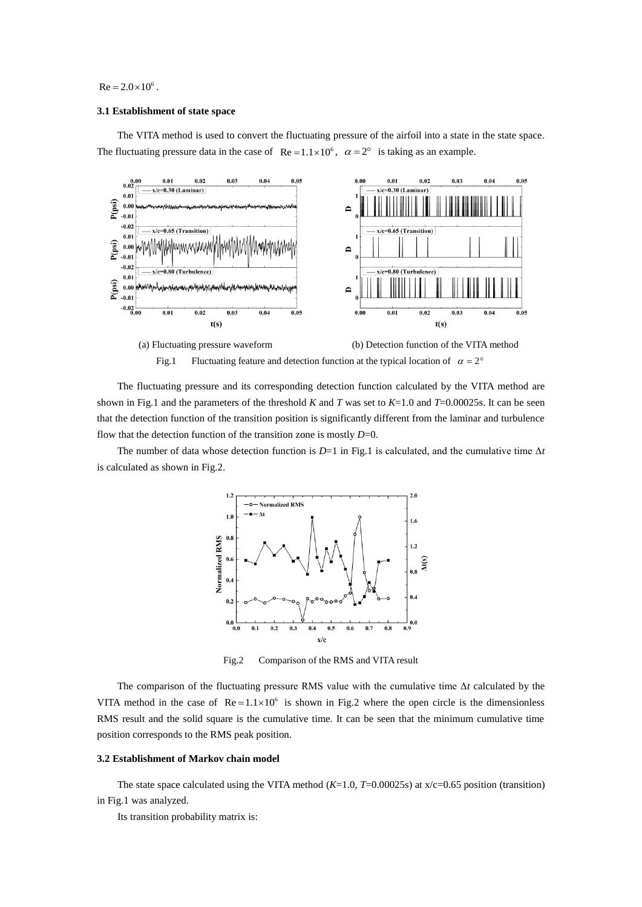#### $Re = 2.0 \times 10^6$ .

#### **3.1 Establishment of state space**

The VITA method is used to convert the fluctuating pressure of the airfoil into a state in the state space. The fluctuating pressure data in the case of  $\text{Re} = 1.1 \times 10^6$ ,  $\alpha = 2^{\circ}$  is taking as an example.



The fluctuating pressure and its corresponding detection function calculated by the VITA method are shown in Fig.1 and the parameters of the threshold *K* and *T* was set to  $K=1.0$  and  $T=0.00025s$ . It can be seen that the detection function of the transition position is significantly different from the laminar and turbulence flow that the detection function of the transition zone is mostly *D*=0.

The number of data whose detection function is  $D=1$  in Fig.1 is calculated, and the cumulative time  $\Delta t$ is calculated as shown in [Fig.2.](#page-3-0)



<span id="page-3-0"></span>Fig.2 Comparison of the RMS and VITA result

The comparison of the fluctuating pressure RMS value with the cumulative time Δ*t* calculated by the VITA method in the case of  $Re = 1.1 \times 10^6$  is shown in Fig.2 where the open circle is the dimensionless RMS result and the solid square is the cumulative time. It can be seen that the minimum cumulative time position corresponds to the RMS peak position.

## **3.2 Establishment of Markov chain model**

The state space calculated using the VITA method  $(K=1.0, T=0.00025s)$  at  $x/c=0.65$  position (transition) in Fig.1 was analyzed.

Its transition probability matrix is: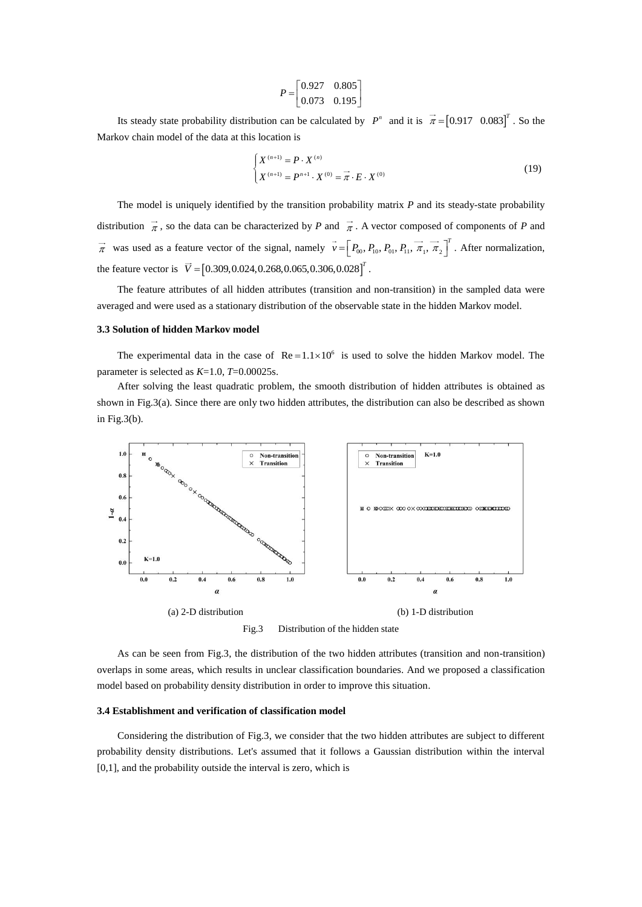$$
P = \begin{bmatrix} 0.927 & 0.805 \\ 0.073 & 0.195 \end{bmatrix}
$$

Its steady state probability distribution can be calculated by  $P^n$  and it is  $\vec{\pi} = [0.917 \ 0.083]^T$ . So the Markov chain model of the data at this location is

$$
\begin{cases} X^{(n+1)} = P \cdot X^{(n)} \\ X^{(n+1)} = P^{n+1} \cdot X^{(0)} = \vec{\pi} \cdot E \cdot X^{(0)} \end{cases}
$$
(19)

The model is uniquely identified by the transition probability matrix *P* and its steady-state probability distribution  $\vec{\pi}$ , so the data can be characterized by *P* and  $\vec{\pi}$ . A vector composed of components of *P* and  $\vec{\pi}$  was used as a feature vector of the signal, namely  $v = \nvert P_{00}, P_{10}, P_{01}, P_{11}, \pi_1, \pi_2$  $\vec{v}$  =  $\left[P_{00}, P_{10}, P_{01}, P_{11}, \vec{\pi}_1, \vec{\pi}_2\right]^T$ . After normalization, the feature vector is  $\vec{V} = [0.309, 0.024, 0.268, 0.065, 0.306, 0.028]^T$ .

The feature attributes of all hidden attributes (transition and non-transition) in the sampled data were averaged and were used as a stationary distribution of the observable state in the hidden Markov model.

### **3.3 Solution of hidden Markov model**

The experimental data in the case of  $Re = 1.1 \times 10^6$  is used to solve the hidden Markov model. The parameter is selected as *K*=1.0, *T*=0.00025s.

After solving the least quadratic problem, the smooth distribution of hidden attributes is obtained as shown in [Fig.3\(](#page-4-0)a). Since there are only two hidden attributes, the distribution can also be described as shown in [Fig.3\(](#page-4-0)b).



<span id="page-4-0"></span>Fig.3 Distribution of the hidden state

As can be seen from [Fig.3,](#page-4-0) the distribution of the two hidden attributes (transition and non-transition) overlaps in some areas, which results in unclear classification boundaries. And we proposed a classification model based on probability density distribution in order to improve this situation.

### **3.4 Establishment and verification of classification model**

Considering the distribution of [Fig.3,](#page-4-0) we consider that the two hidden attributes are subject to different probability density distributions. Let's assumed that it follows a Gaussian distribution within the interval [0,1], and the probability outside the interval is zero, which is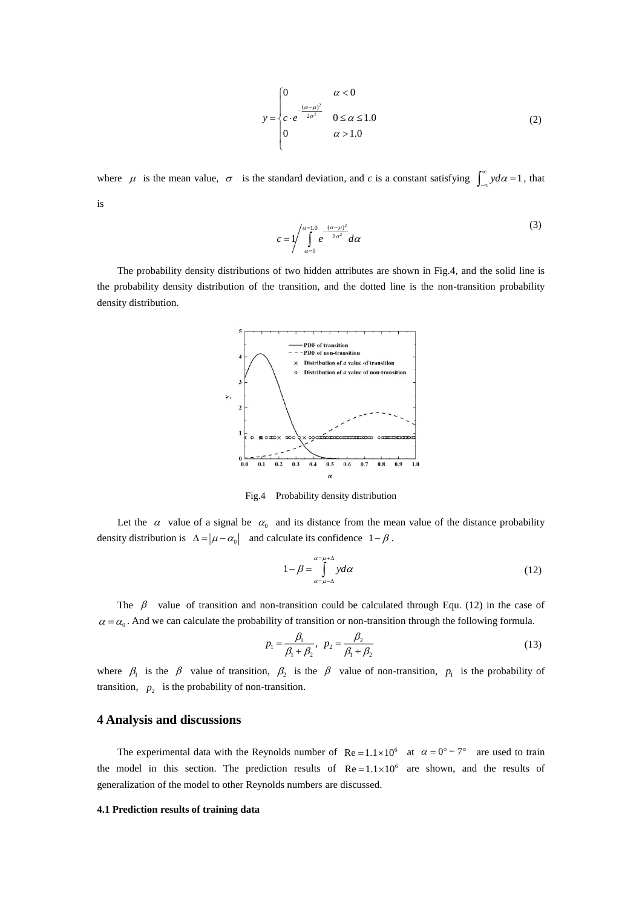$$
y = \begin{cases} 0 & \alpha < 0 \\ c \cdot e^{-\frac{(\alpha - \mu)^2}{2\sigma^2}} & 0 \le \alpha \le 1.0 \\ 0 & \alpha > 1.0 \end{cases}
$$
 (2)

where  $\mu$  is the mean value,  $\sigma$  is the standard deviation, and *c* is a constant satisfying  $\int_{-\infty}^{\infty} y d\alpha = 1$  $\int_{-\infty}^{\infty} y d\alpha = 1$ , that is

$$
c = \frac{1}{\int_{\alpha=0}^{\alpha=1.0} e^{-\frac{(\alpha-\mu)^2}{2\sigma^2}} d\alpha} \tag{3}
$$

The probability density distributions of two hidden attributes are shown in Fig.4, and the solid line is the probability density distribution of the transition, and the dotted line is the non-transition probability density distribution.



Fig.4 Probability density distribution

Let the  $\alpha$  value of a signal be  $\alpha_0$  and its distance from the mean value of the distance probability density distribution is  $\Delta = |\mu - \alpha_0|$  and calculate its confidence  $1 - \beta$ .

$$
1 - \beta = \int_{\alpha = \mu - \Delta}^{\alpha = \mu + \Delta} y d\alpha \tag{12}
$$

The  $\beta$  value of transition and non-transition could be calculated through Equ. (12) in the case of  $\alpha = \alpha_0$ . And we can calculate the probability of transition or non-transition through the following formula.

$$
p_1 = \frac{\beta_1}{\beta_1 + \beta_2}, \ \ p_2 = \frac{\beta_2}{\beta_1 + \beta_2} \tag{13}
$$

where  $\beta_1$  is the  $\beta$  value of transition,  $\beta_2$  is the  $\beta$  value of non-transition,  $p_1$  is the probability of transition,  $p_2$  is the probability of non-transition.

## **4 Analysis and discussions**

The experimental data with the Reynolds number of  $\text{Re} = 1.1 \times 10^6$  at  $\alpha = 0^\circ \sim 7^\circ$  are used to train the model in this section. The prediction results of  $Re = 1.1 \times 10^6$  are shown, and the results of generalization of the model to other Reynolds numbers are discussed.

## **4.1 Prediction results of training data**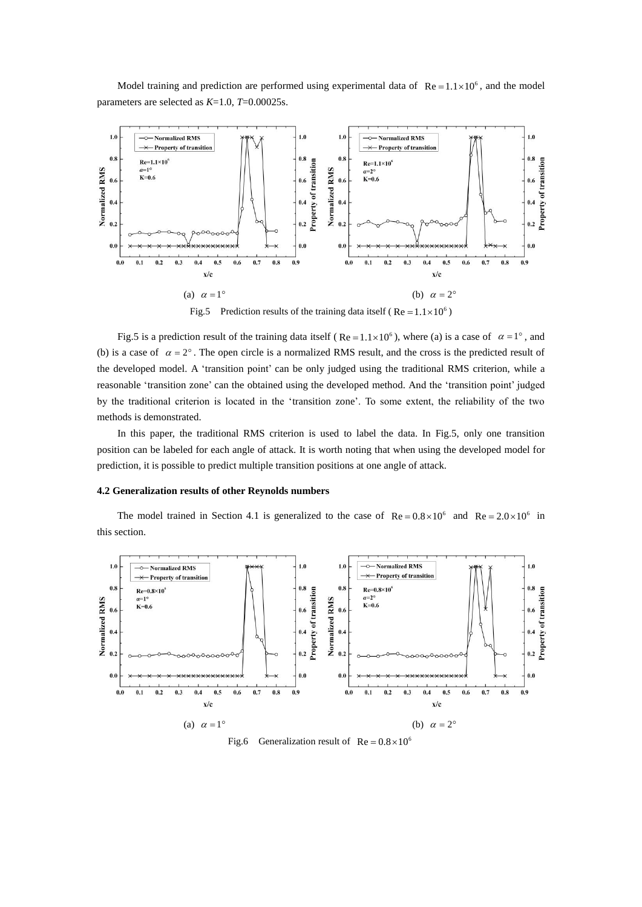Model training and prediction are performed using experimental data of  $\text{Re} = 1.1 \times 10^6$ , and the model parameters are selected as *K*=1.0, *T*=0.00025s.



Fig.5 Prediction results of the training data itself (Re =  $1.1 \times 10^6$ )

<span id="page-6-0"></span>[Fig.5](#page-6-0) is a prediction result of the training data itself (Re =  $1.1 \times 10^6$ ), where (a) is a case of  $\alpha = 1^\circ$ , and (b) is a case of  $\alpha = 2^{\circ}$ . The open circle is a normalized RMS result, and the cross is the predicted result of the developed model. A 'transition point' can be only judged using the traditional RMS criterion, while a reasonable 'transition zone' can the obtained using the developed method. And the 'transition point' judged by the traditional criterion is located in the 'transition zone'. To some extent, the reliability of the two methods is demonstrated.

In this paper, the traditional RMS criterion is used to label the data. In [Fig.5,](#page-6-0) only one transition position can be labeled for each angle of attack. It is worth noting that when using the developed model for prediction, it is possible to predict multiple transition positions at one angle of attack.

## **4.2 Generalization results of other Reynolds numbers**

The model trained in Section 4.1 is generalized to the case of  $Re = 0.8 \times 10^6$  and  $Re = 2.0 \times 10^6$  in this section.



<span id="page-6-1"></span>Fig.6 Generalization result of  $Re = 0.8 \times 10^6$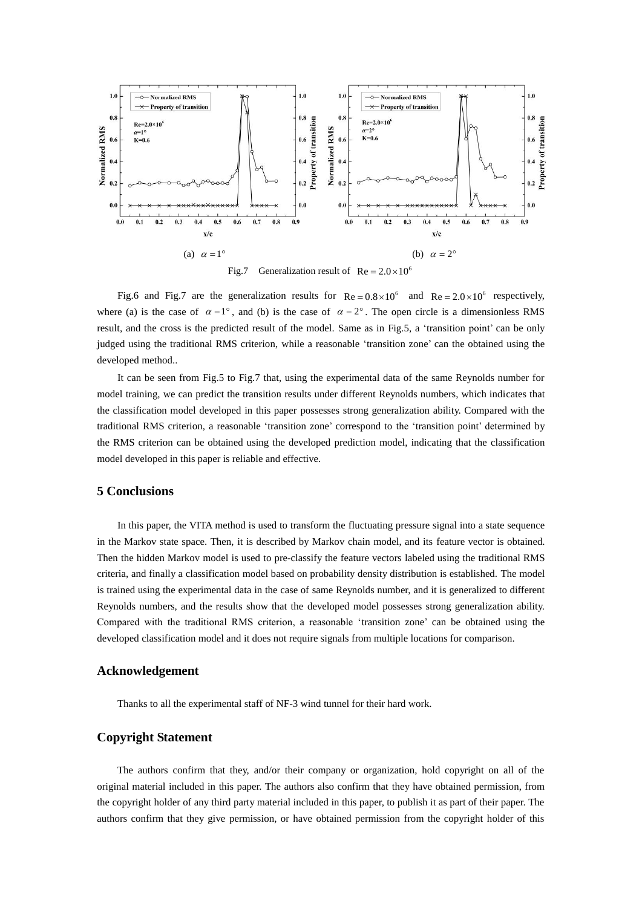

Fig.7 Generalization result of  $Re = 2.0 \times 10^6$ 

<span id="page-7-0"></span>[Fig.6](#page-6-1) and [Fig.7](#page-7-0) are the generalization results for  $Re = 0.8 \times 10^6$  and  $Re = 2.0 \times 10^6$  respectively, where (a) is the case of  $\alpha = 1^{\circ}$ , and (b) is the case of  $\alpha = 2^{\circ}$ . The open circle is a dimensionless RMS result, and the cross is the predicted result of the model. Same as in [Fig.5,](#page-6-0) a 'transition point' can be only judged using the traditional RMS criterion, while a reasonable 'transition zone' can the obtained using the developed method..

It can be seen from [Fig.5](#page-6-0) to [Fig.7](#page-7-0) that, using the experimental data of the same Reynolds number for model training, we can predict the transition results under different Reynolds numbers, which indicates that the classification model developed in this paper possesses strong generalization ability. Compared with the traditional RMS criterion, a reasonable 'transition zone' correspond to the 'transition point' determined by the RMS criterion can be obtained using the developed prediction model, indicating that the classification model developed in this paper is reliable and effective.

# **5 Conclusions**

In this paper, the VITA method is used to transform the fluctuating pressure signal into a state sequence in the Markov state space. Then, it is described by Markov chain model, and its feature vector is obtained. Then the hidden Markov model is used to pre-classify the feature vectors labeled using the traditional RMS criteria, and finally a classification model based on probability density distribution is established. The model is trained using the experimental data in the case of same Reynolds number, and it is generalized to different Reynolds numbers, and the results show that the developed model possesses strong generalization ability. Compared with the traditional RMS criterion, a reasonable 'transition zone' can be obtained using the developed classification model and it does not require signals from multiple locations for comparison.

## **Acknowledgement**

Thanks to all the experimental staff of NF-3 wind tunnel for their hard work.

# **Copyright Statement**

The authors confirm that they, and/or their company or organization, hold copyright on all of the original material included in this paper. The authors also confirm that they have obtained permission, from the copyright holder of any third party material included in this paper, to publish it as part of their paper. The authors confirm that they give permission, or have obtained permission from the copyright holder of this